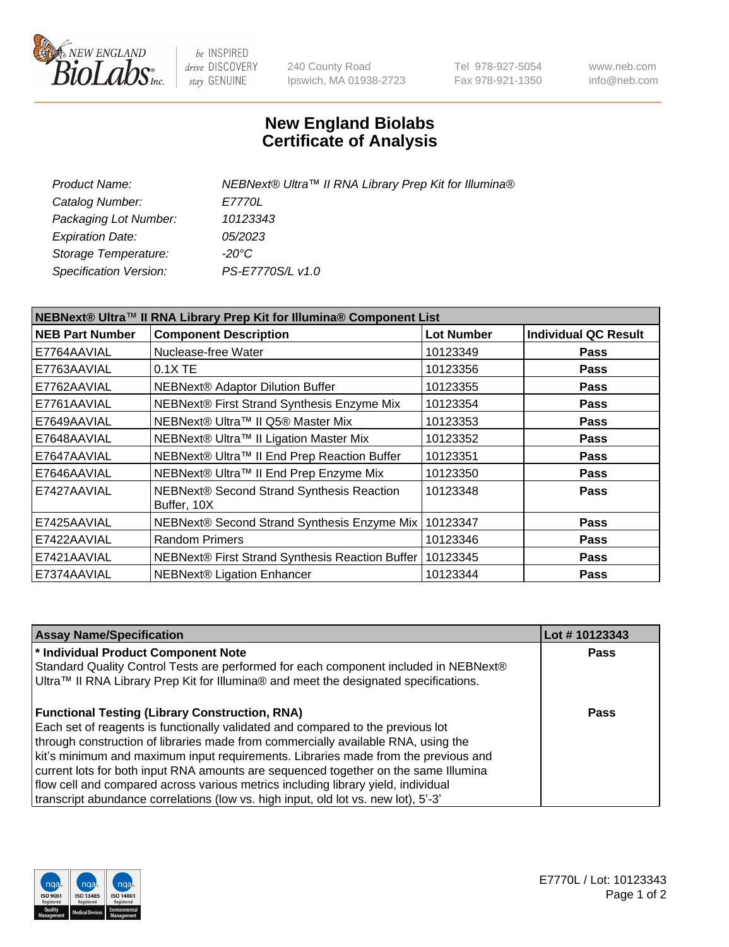

be INSPIRED drive DISCOVERY stay GENUINE

240 County Road Ipswich, MA 01938-2723 Tel 978-927-5054 Fax 978-921-1350 www.neb.com info@neb.com

## **New England Biolabs Certificate of Analysis**

| Product Name:           | NEBNext® Ultra™ II RNA Library Prep Kit for Illumina® |
|-------------------------|-------------------------------------------------------|
| Catalog Number:         | <i>E7770L</i>                                         |
| Packaging Lot Number:   | 10123343                                              |
| <b>Expiration Date:</b> | 05/2023                                               |
| Storage Temperature:    | -20°C                                                 |
| Specification Version:  | PS-E7770S/L v1.0                                      |
|                         |                                                       |

| NEBNext® Ultra™ II RNA Library Prep Kit for Illumina® Component List |                                                            |                   |                             |  |  |
|----------------------------------------------------------------------|------------------------------------------------------------|-------------------|-----------------------------|--|--|
| <b>NEB Part Number</b>                                               | <b>Component Description</b>                               | <b>Lot Number</b> | <b>Individual QC Result</b> |  |  |
| E7764AAVIAL                                                          | Nuclease-free Water                                        | 10123349          | <b>Pass</b>                 |  |  |
| E7763AAVIAL                                                          | $0.1X$ TE                                                  | 10123356          | <b>Pass</b>                 |  |  |
| E7762AAVIAL                                                          | <b>NEBNext® Adaptor Dilution Buffer</b>                    | 10123355          | <b>Pass</b>                 |  |  |
| E7761AAVIAL                                                          | NEBNext® First Strand Synthesis Enzyme Mix                 | 10123354          | <b>Pass</b>                 |  |  |
| E7649AAVIAL                                                          | NEBNext® Ultra™ II Q5® Master Mix                          | 10123353          | <b>Pass</b>                 |  |  |
| E7648AAVIAL                                                          | NEBNext® Ultra™ II Ligation Master Mix                     | 10123352          | <b>Pass</b>                 |  |  |
| E7647AAVIAL                                                          | NEBNext® Ultra™ II End Prep Reaction Buffer                | 10123351          | <b>Pass</b>                 |  |  |
| E7646AAVIAL                                                          | NEBNext® Ultra™ II End Prep Enzyme Mix                     | 10123350          | <b>Pass</b>                 |  |  |
| E7427AAVIAL                                                          | NEBNext® Second Strand Synthesis Reaction<br>Buffer, 10X   | 10123348          | <b>Pass</b>                 |  |  |
| E7425AAVIAL                                                          | NEBNext® Second Strand Synthesis Enzyme Mix                | 10123347          | <b>Pass</b>                 |  |  |
| E7422AAVIAL                                                          | <b>Random Primers</b>                                      | 10123346          | <b>Pass</b>                 |  |  |
| E7421AAVIAL                                                          | NEBNext® First Strand Synthesis Reaction Buffer   10123345 |                   | <b>Pass</b>                 |  |  |
| E7374AAVIAL                                                          | NEBNext® Ligation Enhancer                                 | 10123344          | <b>Pass</b>                 |  |  |

| <b>Assay Name/Specification</b>                                                                                                                                              | Lot #10123343 |
|------------------------------------------------------------------------------------------------------------------------------------------------------------------------------|---------------|
| * Individual Product Component Note                                                                                                                                          | <b>Pass</b>   |
| Standard Quality Control Tests are performed for each component included in NEBNext®<br>Ultra™ II RNA Library Prep Kit for Illumina® and meet the designated specifications. |               |
| <b>Functional Testing (Library Construction, RNA)</b>                                                                                                                        | Pass          |
| Each set of reagents is functionally validated and compared to the previous lot<br>through construction of libraries made from commercially available RNA, using the         |               |
| kit's minimum and maximum input requirements. Libraries made from the previous and                                                                                           |               |
| current lots for both input RNA amounts are sequenced together on the same Illumina                                                                                          |               |
| flow cell and compared across various metrics including library yield, individual                                                                                            |               |
| transcript abundance correlations (low vs. high input, old lot vs. new lot), 5'-3'                                                                                           |               |